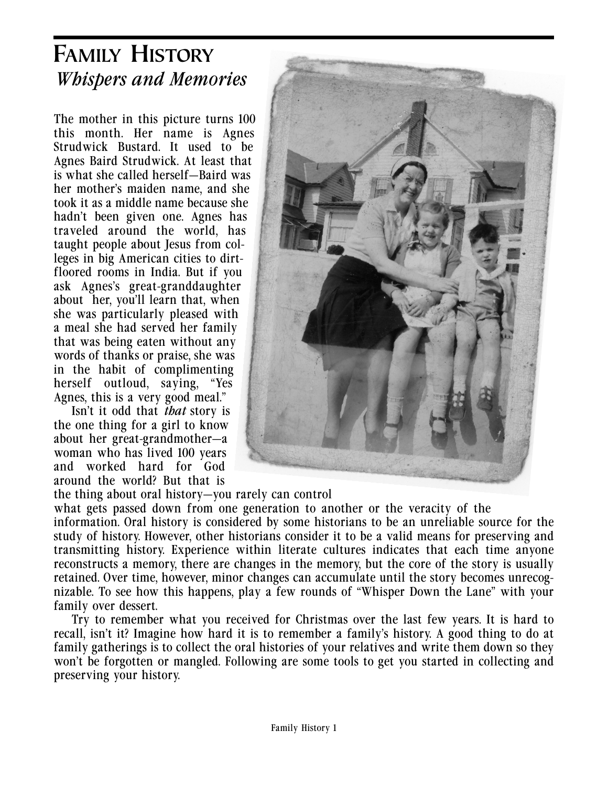# **FAMILY HISTORY** *Whispers and Memories*

The mother in this picture turns 100 this month. Her name is Agnes Strudwick Bustard. It used to be Agnes Baird Strudwick. At least that is what she called herself—Baird was her mother's maiden name, and she took it as a middle name because she hadn't been given one. Agnes has traveled around the world, has taught people about Jesus from colleges in big American cities to dirtfloored rooms in India. But if you ask Agnes's great-granddaughter about her, you'll learn that, when she was particularly pleased with a meal she had served her family that was being eaten without any words of thanks or praise, she was in the habit of complimenting herself outloud, saying, "Yes Agnes, this is a very good meal."

Isn't it odd that *that* story is the one thing for a girl to know about her great-grandmother—a woman who has lived 100 years and worked hard for God around the world? But that is



the thing about oral history—you rarely can control

what gets passed down from one generation to another or the veracity of the information. Oral history is considered by some historians to be an unreliable source for the study of history. However, other historians consider it to be a valid means for preserving and transmitting history. Experience within literate cultures indicates that each time anyone reconstructs a memory, there are changes in the memory, but the core of the story is usually retained. Over time, however, minor changes can accumulate until the story becomes unrecognizable. To see how this happens, play a few rounds of "Whisper Down the Lane" with your family over dessert.

Try to remember what you received for Christmas over the last few years. It is hard to recall, isn't it? Imagine how hard it is to remember a family's history. A good thing to do at family gatherings is to collect the oral histories of your relatives and write them down so they won't be forgotten or mangled. Following are some tools to get you started in collecting and preserving your history.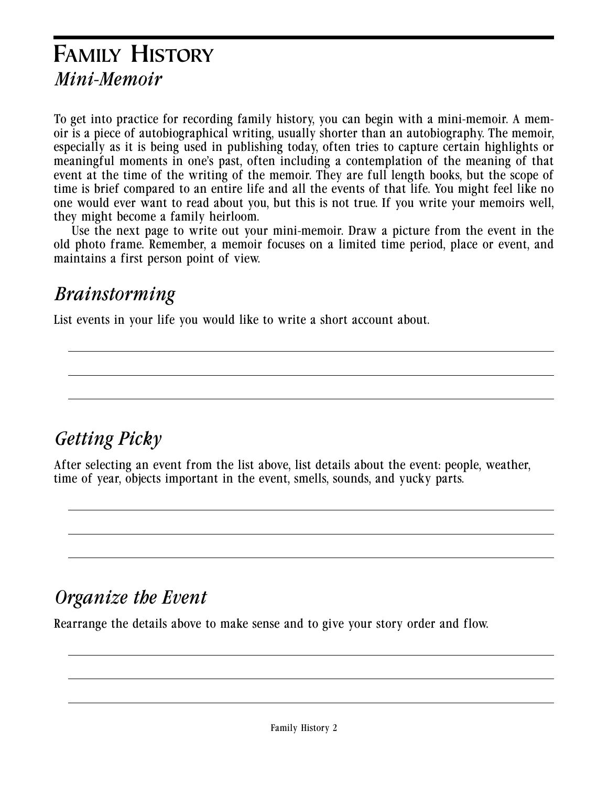## **FAMILY HISTORY** *Mini-Memoir*

To get into practice for recording family history, you can begin with a mini-memoir. A memoir is a piece of autobiographical writing, usually shorter than an autobiography. The memoir, especially as it is being used in publishing today, often tries to capture certain highlights or meaningful moments in one's past, often including a contemplation of the meaning of that event at the time of the writing of the memoir. They are full length books, but the scope of time is brief compared to an entire life and all the events of that life. You might feel like no one would ever want to read about you, but this is not true. If you write your memoirs well, they might become a family heirloom.

Use the next page to write out your mini-memoir. Draw a picture from the event in the old photo frame. Remember, a memoir focuses on a limited time period, place or event, and maintains a first person point of view.

#### *Brainstorming*

List events in your life you would like to write a short account about.

### *Getting Picky*

After selecting an event from the list above, list details about the event: people, weather, time of year, objects important in the event, smells, sounds, and yucky parts.

#### *Organize the Event*

Rearrange the details above to make sense and to give your story order and flow.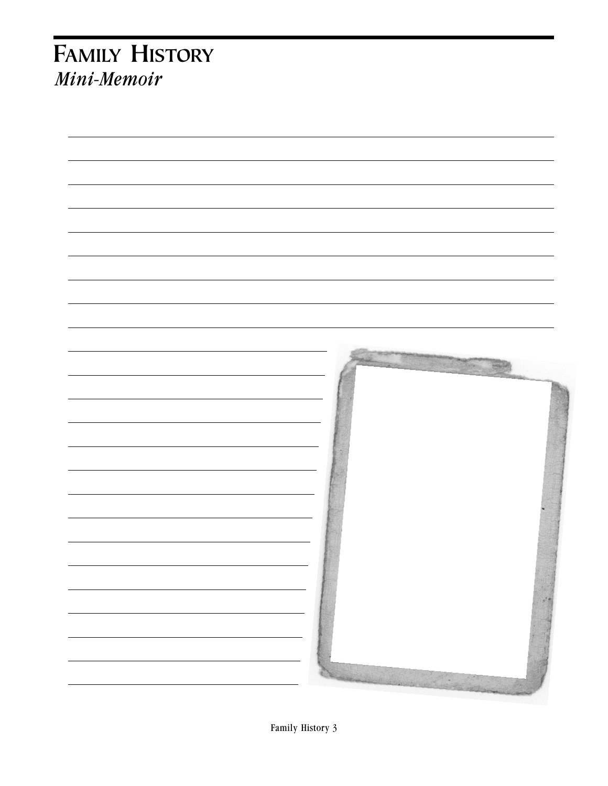# **FAMILY HISTORY** *Mini-Memoir*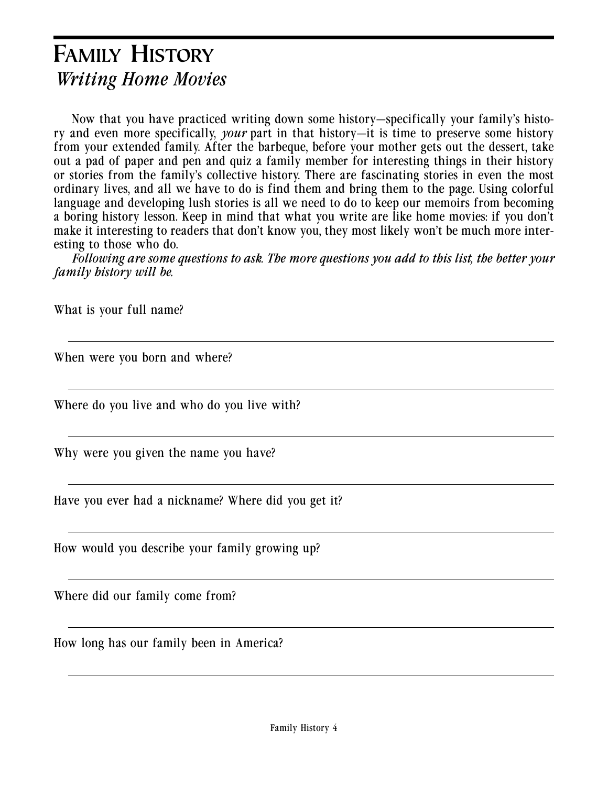## **FAMILY HISTORY** *Writing Home Movies*

Now that you have practiced writing down some history—specifically your family's history and even more specifically, *your* part in that history—it is time to preserve some history from your extended family. After the barbeque, before your mother gets out the dessert, take out a pad of paper and pen and quiz a family member for interesting things in their history or stories from the family's collective history. There are fascinating stories in even the most ordinary lives, and all we have to do is find them and bring them to the page. Using colorful language and developing lush stories is all we need to do to keep our memoirs from becoming a boring history lesson. Keep in mind that what you write are like home movies: if you don't make it interesting to readers that don't know you, they most likely won't be much more interesting to those who do.

*Following are some questions to ask. The more questions you add to this list, the better your family history will be.*

What is your full name?

When were you born and where?

Where do you live and who do you live with?

Why were you given the name you have?

Have you ever had a nickname? Where did you get it?

How would you describe your family growing up?

Where did our family come from?

How long has our family been in America?